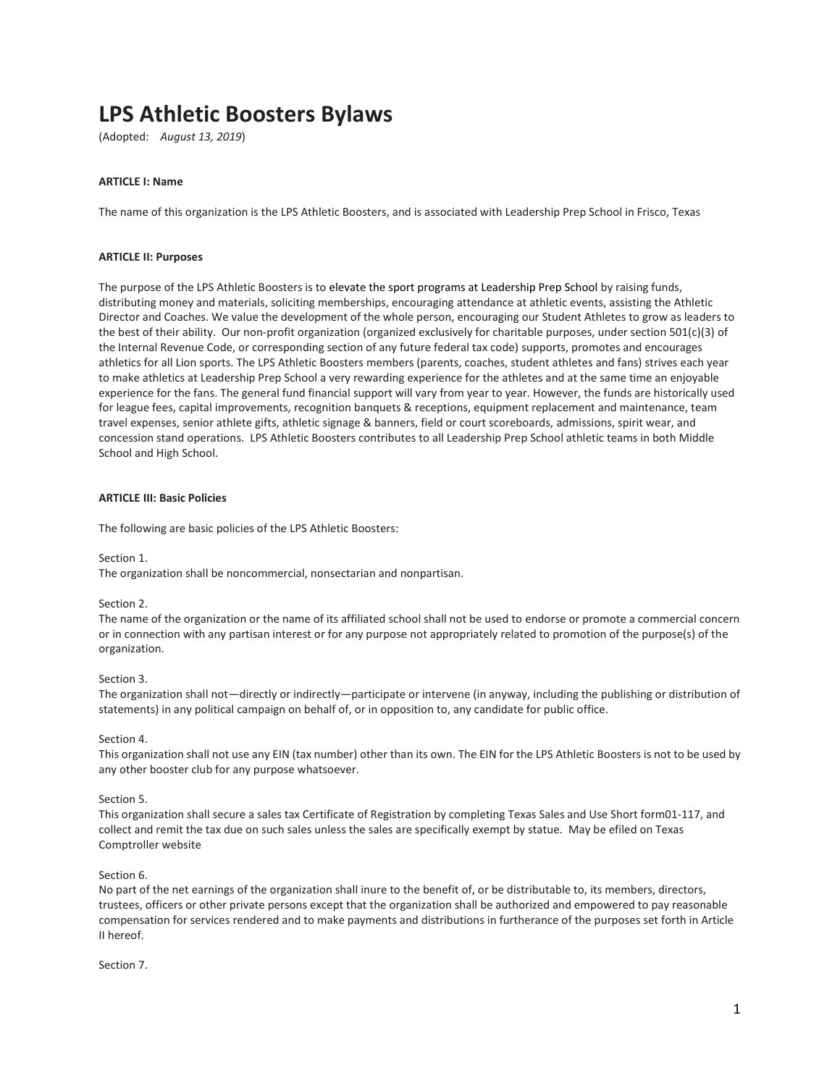# **LPS Athletic Boosters Bylaws**

(Adopted: *August 13, 2019*)

## **ARTICLE I: Name**

The name of this organization is the LPS Athletic Boosters, and is associated with Leadership Prep School in Frisco, Texas

#### **ARTICLE II: Purposes**

The purpose of the LPS Athletic Boosters is to elevate the sport programs at Leadership Prep School by raising funds, distributing money and materials, soliciting memberships, encouraging attendance at athletic events, assisting the Athletic Director and Coaches. We value the development of the whole person, encouraging our Student Athletes to grow as leaders to the best of their ability. Our non-profit organization (organized exclusively for charitable purposes, under section 501(c)(3) of the Internal Revenue Code, or corresponding section of any future federal tax code) supports, promotes and encourages athletics for all Lion sports. The LPS Athletic Boosters members (parents, coaches, student athletes and fans) strives each year to make athletics at Leadership Prep School a very rewarding experience for the athletes and at the same time an enjoyable experience for the fans. The general fund financial support will vary from year to year. However, the funds are historically used for league fees, capital improvements, recognition banquets & receptions, equipment replacement and maintenance, team travel expenses, senior athlete gifts, athletic signage & banners, field or court scoreboards, admissions, spirit wear, and concession stand operations. LPS Athletic Boosters contributes to all Leadership Prep School athletic teams in both Middle School and High School.

#### **ARTICLE III: Basic Policies**

The following are basic policies of the LPS Athletic Boosters:

Section 1.

The organization shall be noncommercial, nonsectarian and nonpartisan.

#### Section 2.

The name of the organization or the name of its affiliated school shall not be used to endorse or promote a commercial concern or in connection with any partisan interest or for any purpose not appropriately related to promotion of the purpose(s) of the organization.

#### Section 3.

The organization shall not—directly or indirectly—participate or intervene (in anyway, including the publishing or distribution of statements) in any political campaign on behalf of, or in opposition to, any candidate for public office.

#### Section 4.

This organization shall not use any EIN (tax number) other than its own. The EIN for the LPS Athletic Boosters is not to be used by any other booster club for any purpose whatsoever.

#### Section 5.

This organization shall secure a sales tax Certificate of Registration by completing Texas Sales and Use Short form01-117, and collect and remit the tax due on such sales unless the sales are specifically exempt by statue. May be efiled on Texas Comptroller website

#### Section 6.

No part of the net earnings of the organization shall inure to the benefit of, or be distributable to, its members, directors, trustees, officers or other private persons except that the organization shall be authorized and empowered to pay reasonable compensation for services rendered and to make payments and distributions in furtherance of the purposes set forth in Article II hereof.

Section 7.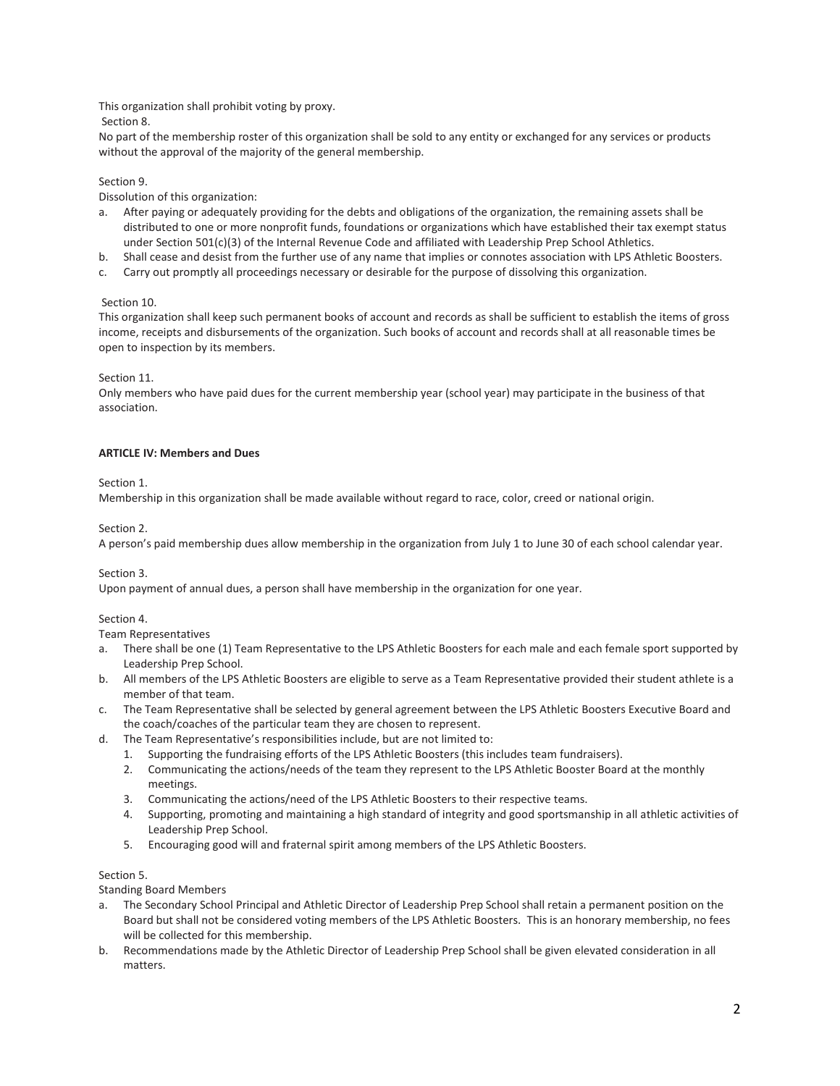This organization shall prohibit voting by proxy.

Section 8.

No part of the membership roster of this organization shall be sold to any entity or exchanged for any services or products without the approval of the majority of the general membership.

# Section 9.

Dissolution of this organization:

- a. After paying or adequately providing for the debts and obligations of the organization, the remaining assets shall be distributed to one or more nonprofit funds, foundations or organizations which have established their tax exempt status under Section 501(c)(3) of the Internal Revenue Code and affiliated with Leadership Prep School Athletics.
- b. Shall cease and desist from the further use of any name that implies or connotes association with LPS Athletic Boosters.
- c. Carry out promptly all proceedings necessary or desirable for the purpose of dissolving this organization.

# Section 10.

This organization shall keep such permanent books of account and records as shall be sufficient to establish the items of gross income, receipts and disbursements of the organization. Such books of account and records shall at all reasonable times be open to inspection by its members.

# Section 11.

Only members who have paid dues for the current membership year (school year) may participate in the business of that association.

# **ARTICLE IV: Members and Dues**

# Section 1.

Membership in this organization shall be made available without regard to race, color, creed or national origin.

# Section 2.

A person's paid membership dues allow membership in the organization from July 1 to June 30 of each school calendar year.

# Section 3.

Upon payment of annual dues, a person shall have membership in the organization for one year.

# Section 4.

Team Representatives

- a. There shall be one (1) Team Representative to the LPS Athletic Boosters for each male and each female sport supported by Leadership Prep School.
- b. All members of the LPS Athletic Boosters are eligible to serve as a Team Representative provided their student athlete is a member of that team.
- c. The Team Representative shall be selected by general agreement between the LPS Athletic Boosters Executive Board and the coach/coaches of the particular team they are chosen to represent.
- d. The Team Representative's responsibilities include, but are not limited to:
	- 1. Supporting the fundraising efforts of the LPS Athletic Boosters (this includes team fundraisers).
	- 2. Communicating the actions/needs of the team they represent to the LPS Athletic Booster Board at the monthly meetings.
	- 3. Communicating the actions/need of the LPS Athletic Boosters to their respective teams.
	- 4. Supporting, promoting and maintaining a high standard of integrity and good sportsmanship in all athletic activities of Leadership Prep School.
	- 5. Encouraging good will and fraternal spirit among members of the LPS Athletic Boosters.

# Section 5.

Standing Board Members

- a. The Secondary School Principal and Athletic Director of Leadership Prep School shall retain a permanent position on the Board but shall not be considered voting members of the LPS Athletic Boosters. This is an honorary membership, no fees will be collected for this membership.
- b. Recommendations made by the Athletic Director of Leadership Prep School shall be given elevated consideration in all matters.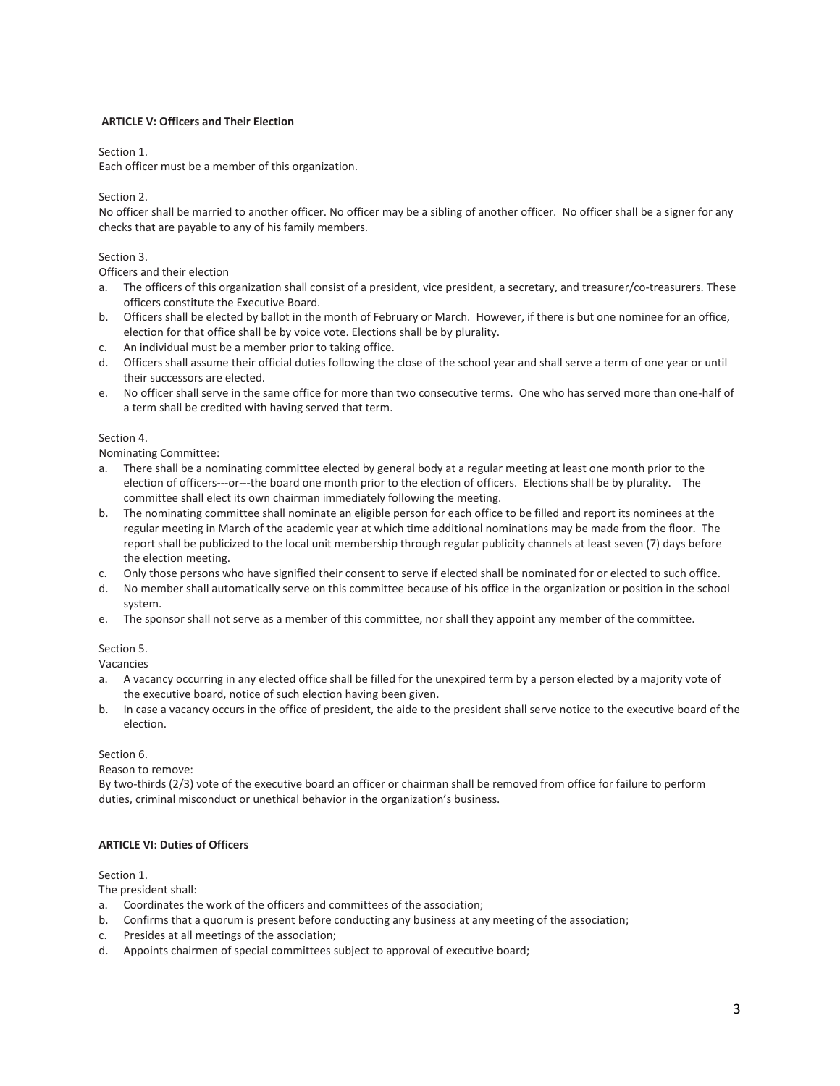# **ARTICLE V: Officers and Their Election**

## Section 1.

Each officer must be a member of this organization.

## Section 2.

No officer shall be married to another officer. No officer may be a sibling of another officer. No officer shall be a signer for any checks that are payable to any of his family members.

# Section 3.

Officers and their election

- a. The officers of this organization shall consist of a president, vice president, a secretary, and treasurer/co-treasurers. These officers constitute the Executive Board.
- b. Officers shall be elected by ballot in the month of February or March. However, if there is but one nominee for an office, election for that office shall be by voice vote. Elections shall be by plurality.
- c. An individual must be a member prior to taking office.
- d. Officers shall assume their official duties following the close of the school year and shall serve a term of one year or until their successors are elected.
- e. No officer shall serve in the same office for more than two consecutive terms. One who has served more than one-half of a term shall be credited with having served that term.

## Section 4.

Nominating Committee:

- a. There shall be a nominating committee elected by general body at a regular meeting at least one month prior to the election of officers---or---the board one month prior to the election of officers. Elections shall be by plurality. The committee shall elect its own chairman immediately following the meeting.
- b. The nominating committee shall nominate an eligible person for each office to be filled and report its nominees at the regular meeting in March of the academic year at which time additional nominations may be made from the floor. The report shall be publicized to the local unit membership through regular publicity channels at least seven (7) days before the election meeting.
- c. Only those persons who have signified their consent to serve if elected shall be nominated for or elected to such office.
- d. No member shall automatically serve on this committee because of his office in the organization or position in the school system.
- e. The sponsor shall not serve as a member of this committee, nor shall they appoint any member of the committee.

# Section 5.

Vacancies

- a. A vacancy occurring in any elected office shall be filled for the unexpired term by a person elected by a majority vote of the executive board, notice of such election having been given.
- b. In case a vacancy occurs in the office of president, the aide to the president shall serve notice to the executive board of the election.

## Section 6.

Reason to remove:

By two-thirds (2/3) vote of the executive board an officer or chairman shall be removed from office for failure to perform duties, criminal misconduct or unethical behavior in the organization's business.

# **ARTICLE VI: Duties of Officers**

## Section 1.

The president shall:

- a. Coordinates the work of the officers and committees of the association;
- b. Confirms that a quorum is present before conducting any business at any meeting of the association;
- c. Presides at all meetings of the association;
- d. Appoints chairmen of special committees subject to approval of executive board;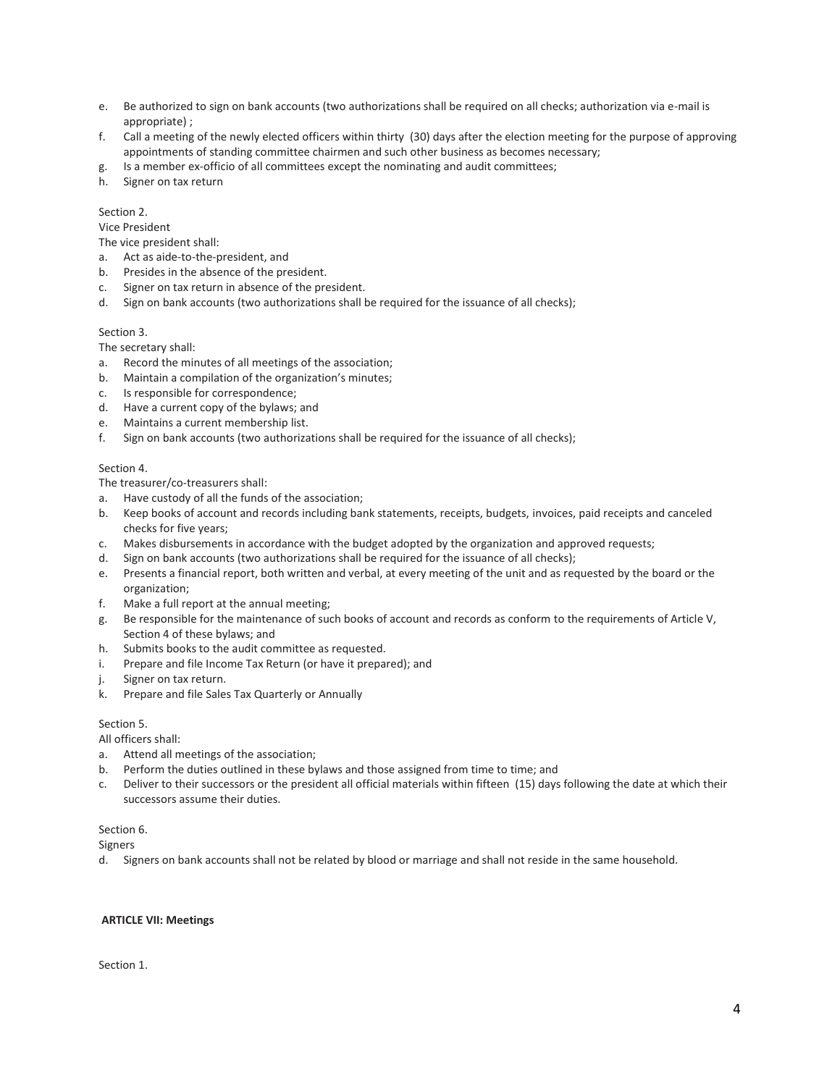- e. Be authorized to sign on bank accounts (two authorizations shall be required on all checks; authorization via e-mail is appropriate) ;
- f. Call a meeting of the newly elected officers within thirty (30) days after the election meeting for the purpose of approving appointments of standing committee chairmen and such other business as becomes necessary;
- g. Is a member ex-officio of all committees except the nominating and audit committees;
- h. Signer on tax return

# Section 2.

Vice President

The vice president shall:

- a. Act as aide-to-the-president, and
- b. Presides in the absence of the president.
- c. Signer on tax return in absence of the president.
- d. Sign on bank accounts (two authorizations shall be required for the issuance of all checks);

# Section 3.

The secretary shall:

- a. Record the minutes of all meetings of the association;
- b. Maintain a compilation of the organization's minutes;
- c. Is responsible for correspondence;
- d. Have a current copy of the bylaws; and
- e. Maintains a current membership list.
- f. Sign on bank accounts (two authorizations shall be required for the issuance of all checks);

## Section 4.

The treasurer/co-treasurers shall:

- a. Have custody of all the funds of the association;
- b. Keep books of account and records including bank statements, receipts, budgets, invoices, paid receipts and canceled checks for five years;
- c. Makes disbursements in accordance with the budget adopted by the organization and approved requests;
- d. Sign on bank accounts (two authorizations shall be required for the issuance of all checks);
- e. Presents a financial report, both written and verbal, at every meeting of the unit and as requested by the board or the organization;
- f. Make a full report at the annual meeting;
- g. Be responsible for the maintenance of such books of account and records as conform to the requirements of Article V, Section 4 of these bylaws; and
- h. Submits books to the audit committee as requested.
- i. Prepare and file Income Tax Return (or have it prepared); and
- j. Signer on tax return.
- k. Prepare and file Sales Tax Quarterly or Annually

# Section 5.

All officers shall:

- a. Attend all meetings of the association;
- b. Perform the duties outlined in these bylaws and those assigned from time to time; and
- c. Deliver to their successors or the president all official materials within fifteen (15) days following the date at which their successors assume their duties.

#### Section 6.

Signers

d. Signers on bank accounts shall not be related by blood or marriage and shall not reside in the same household.

#### **ARTICLE VII: Meetings**

Section 1.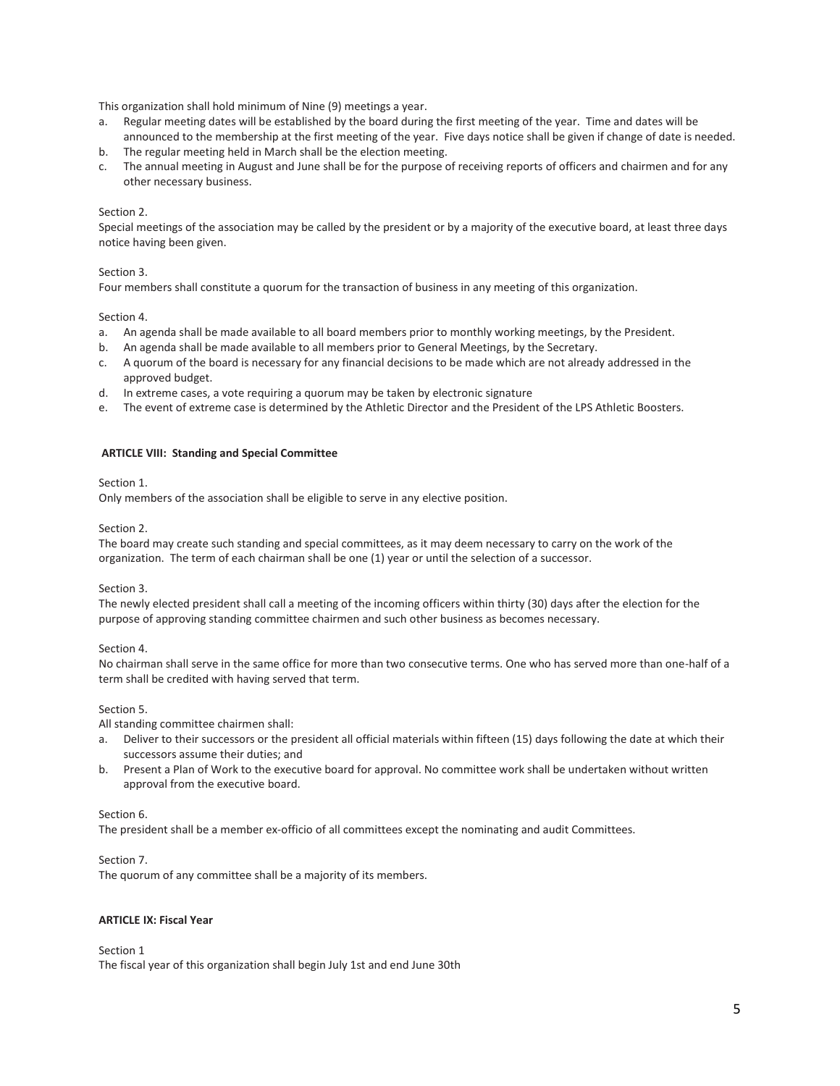This organization shall hold minimum of Nine (9) meetings a year.

- a. Regular meeting dates will be established by the board during the first meeting of the year. Time and dates will be announced to the membership at the first meeting of the year. Five days notice shall be given if change of date is needed.
- b. The regular meeting held in March shall be the election meeting.
- c. The annual meeting in August and June shall be for the purpose of receiving reports of officers and chairmen and for any other necessary business.

#### Section 2.

Special meetings of the association may be called by the president or by a majority of the executive board, at least three days notice having been given.

## Section 3.

Four members shall constitute a quorum for the transaction of business in any meeting of this organization.

#### Section 4.

- a. An agenda shall be made available to all board members prior to monthly working meetings, by the President.
- b. An agenda shall be made available to all members prior to General Meetings, by the Secretary.
- c. A quorum of the board is necessary for any financial decisions to be made which are not already addressed in the approved budget.
- d. In extreme cases, a vote requiring a quorum may be taken by electronic signature
- e. The event of extreme case is determined by the Athletic Director and the President of the LPS Athletic Boosters.

## **ARTICLE VIII: Standing and Special Committee**

# Section 1.

Only members of the association shall be eligible to serve in any elective position.

## Section 2.

The board may create such standing and special committees, as it may deem necessary to carry on the work of the organization. The term of each chairman shall be one (1) year or until the selection of a successor.

# Section 3.

The newly elected president shall call a meeting of the incoming officers within thirty (30) days after the election for the purpose of approving standing committee chairmen and such other business as becomes necessary.

# Section 4.

No chairman shall serve in the same office for more than two consecutive terms. One who has served more than one-half of a term shall be credited with having served that term.

# Section 5.

All standing committee chairmen shall:

- a. Deliver to their successors or the president all official materials within fifteen (15) days following the date at which their successors assume their duties; and
- b. Present a Plan of Work to the executive board for approval. No committee work shall be undertaken without written approval from the executive board.

# Section 6.

The president shall be a member ex-officio of all committees except the nominating and audit Committees.

# Section 7.

The quorum of any committee shall be a majority of its members.

# **ARTICLE IX: Fiscal Year**

Section 1

The fiscal year of this organization shall begin July 1st and end June 30th